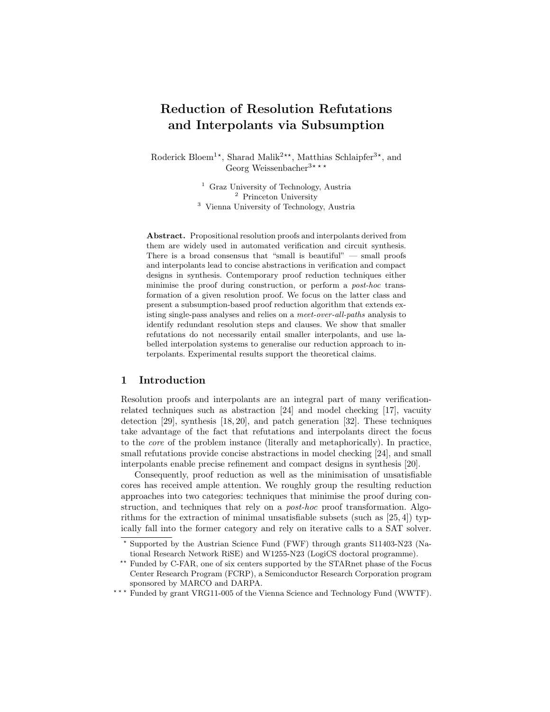# Reduction of Resolution Refutations and Interpolants via Subsumption

Roderick Bloem<sup>1\*</sup>, Sharad Malik<sup>2\*\*</sup>, Matthias Schlaipfer<sup>3\*</sup>, and Georg Weissenbacher<sup>3\*\*\*</sup>

> <sup>1</sup> Graz University of Technology, Austria <sup>2</sup> Princeton University <sup>3</sup> Vienna University of Technology, Austria

Abstract. Propositional resolution proofs and interpolants derived from them are widely used in automated verification and circuit synthesis. There is a broad consensus that "small is beautiful" — small proofs and interpolants lead to concise abstractions in verification and compact designs in synthesis. Contemporary proof reduction techniques either minimise the proof during construction, or perform a *post-hoc* transformation of a given resolution proof. We focus on the latter class and present a subsumption-based proof reduction algorithm that extends existing single-pass analyses and relies on a meet-over-all-paths analysis to identify redundant resolution steps and clauses. We show that smaller refutations do not necessarily entail smaller interpolants, and use labelled interpolation systems to generalise our reduction approach to interpolants. Experimental results support the theoretical claims.

## 1 Introduction

Resolution proofs and interpolants are an integral part of many verificationrelated techniques such as abstraction [24] and model checking [17], vacuity detection [29], synthesis [18, 20], and patch generation [32]. These techniques take advantage of the fact that refutations and interpolants direct the focus to the core of the problem instance (literally and metaphorically). In practice, small refutations provide concise abstractions in model checking [24], and small interpolants enable precise refinement and compact designs in synthesis [20].

Consequently, proof reduction as well as the minimisation of unsatisfiable cores has received ample attention. We roughly group the resulting reduction approaches into two categories: techniques that minimise the proof during construction, and techniques that rely on a post-hoc proof transformation. Algorithms for the extraction of minimal unsatisfiable subsets (such as  $[25, 4]$ ) typically fall into the former category and rely on iterative calls to a SAT solver.

<sup>?</sup> Supported by the Austrian Science Fund (FWF) through grants S11403-N23 (National Research Network RiSE) and W1255-N23 (LogiCS doctoral programme).

<sup>\*\*</sup> Funded by C-FAR, one of six centers supported by the STARnet phase of the Focus Center Research Program (FCRP), a Semiconductor Research Corporation program sponsored by MARCO and DARPA.

<sup>\*\*\*</sup> Funded by grant VRG11-005 of the Vienna Science and Technology Fund (WWTF).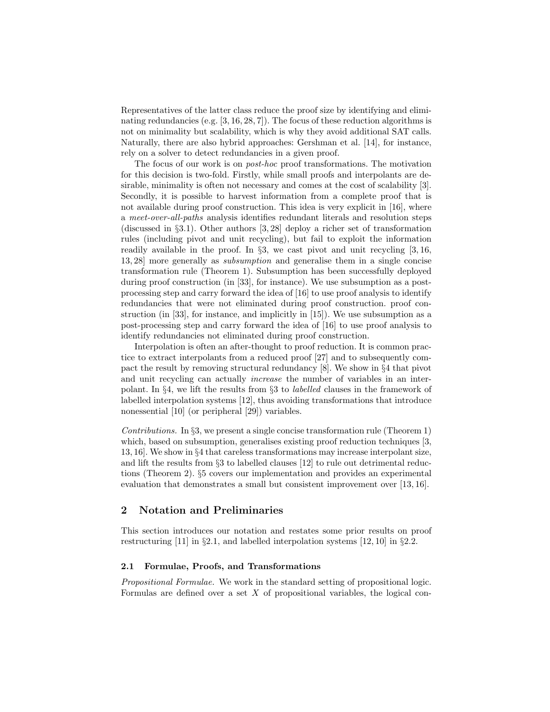Representatives of the latter class reduce the proof size by identifying and eliminating redundancies (e.g. [3, 16, 28, 7]). The focus of these reduction algorithms is not on minimality but scalability, which is why they avoid additional SAT calls. Naturally, there are also hybrid approaches: Gershman et al. [14], for instance, rely on a solver to detect redundancies in a given proof.

The focus of our work is on post-hoc proof transformations. The motivation for this decision is two-fold. Firstly, while small proofs and interpolants are desirable, minimality is often not necessary and comes at the cost of scalability [3]. Secondly, it is possible to harvest information from a complete proof that is not available during proof construction. This idea is very explicit in [16], where a meet-over-all-paths analysis identifies redundant literals and resolution steps (discussed in §3.1). Other authors [3, 28] deploy a richer set of transformation rules (including pivot and unit recycling), but fail to exploit the information readily available in the proof. In §3, we cast pivot and unit recycling [3, 16, 13, 28] more generally as subsumption and generalise them in a single concise transformation rule (Theorem 1). Subsumption has been successfully deployed during proof construction (in [33], for instance). We use subsumption as a postprocessing step and carry forward the idea of [16] to use proof analysis to identify redundancies that were not eliminated during proof construction. proof construction (in [33], for instance, and implicitly in [15]). We use subsumption as a post-processing step and carry forward the idea of [16] to use proof analysis to identify redundancies not eliminated during proof construction.

Interpolation is often an after-thought to proof reduction. It is common practice to extract interpolants from a reduced proof [27] and to subsequently compact the result by removing structural redundancy [8]. We show in §4 that pivot and unit recycling can actually increase the number of variables in an interpolant. In §4, we lift the results from §3 to labelled clauses in the framework of labelled interpolation systems [12], thus avoiding transformations that introduce nonessential [10] (or peripheral [29]) variables.

Contributions. In §3, we present a single concise transformation rule (Theorem 1) which, based on subsumption, generalises existing proof reduction techniques [3, 13, 16]. We show in §4 that careless transformations may increase interpolant size, and lift the results from §3 to labelled clauses [12] to rule out detrimental reductions (Theorem 2). §5 covers our implementation and provides an experimental evaluation that demonstrates a small but consistent improvement over [13, 16].

## 2 Notation and Preliminaries

This section introduces our notation and restates some prior results on proof restructuring [11] in §2.1, and labelled interpolation systems [12, 10] in §2.2.

#### 2.1 Formulae, Proofs, and Transformations

Propositional Formulae. We work in the standard setting of propositional logic. Formulas are defined over a set  $X$  of propositional variables, the logical con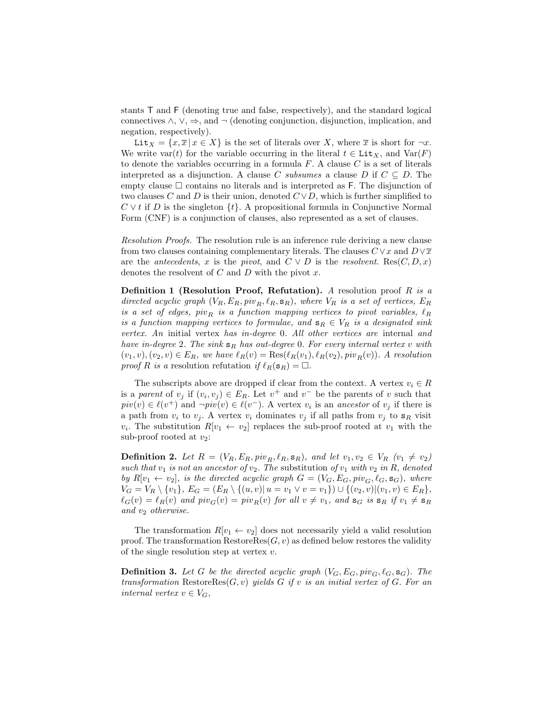stants T and F (denoting true and false, respectively), and the standard logical connectives  $\wedge$ ,  $\vee$ ,  $\Rightarrow$ , and  $\neg$  (denoting conjunction, disjunction, implication, and negation, respectively).

Lit  $X = \{x, \overline{x} | x \in X\}$  is the set of literals over X, where  $\overline{x}$  is short for  $\neg x$ . We write var(t) for the variable occurring in the literal  $t \in \text{Lit}_X$ , and  $\text{Var}(F)$ to denote the variables occurring in a formula  $F$ . A clause  $C$  is a set of literals interpreted as a disjunction. A clause C subsumes a clause D if  $C \subseteq D$ . The empty clause  $\square$  contains no literals and is interpreted as F. The disjunction of two clauses C and D is their union, denoted  $C \vee D$ , which is further simplified to  $C \vee t$  if D is the singleton  $\{t\}$ . A propositional formula in Conjunctive Normal Form (CNF) is a conjunction of clauses, also represented as a set of clauses.

Resolution Proofs. The resolution rule is an inference rule deriving a new clause from two clauses containing complementary literals. The clauses  $C \vee x$  and  $D \vee \overline{x}$ are the *antecedents*, x is the *pivot*, and  $C \vee D$  is the *resolvent*. Res $(C, D, x)$ denotes the resolvent of  $C$  and  $D$  with the pivot  $x$ .

**Definition 1 (Resolution Proof, Refutation).** A resolution proof  $R$  is a directed acyclic graph  $(V_R, E_R, piv_R, \ell_R, \mathbf{s}_R)$ , where  $V_R$  is a set of vertices,  $E_R$ is a set of edges, piv<sub>R</sub> is a function mapping vertices to pivot variables,  $\ell_R$ is a function mapping vertices to formulae, and  $s_R \in V_R$  is a designated sink vertex. An initial vertex has in-degree 0. All other vertices are internal and have in-degree 2. The sink  $s_R$  has out-degree 0. For every internal vertex v with  $(v_1, v), (v_2, v) \in E_R$ , we have  $\ell_R(v) = \text{Res}(\ell_R(v_1), \ell_R(v_2), \text{piv}_R(v))$ . A resolution proof R is a resolution refutation if  $\ell_R(\mathbf{s}_R) = \Box$ .

The subscripts above are dropped if clear from the context. A vertex  $v_i \in R$ is a parent of  $v_j$  if  $(v_i, v_j) \in E_R$ . Let  $v^+$  and  $v^-$  be the parents of v such that  $piv(v) \in \ell(v^+)$  and  $\neg piv(v) \in \ell(v^-)$ . A vertex  $v_i$  is an ancestor of  $v_j$  if there is a path from  $v_i$  to  $v_j$ . A vertex  $v_i$  dominates  $v_j$  if all paths from  $v_j$  to  $s_R$  visit  $v_i$ . The substitution  $R[v_1 \leftarrow v_2]$  replaces the sub-proof rooted at  $v_1$  with the sub-proof rooted at  $v_2$ :

**Definition 2.** Let  $R = (V_R, E_R, piv_R, \ell_R, \mathbf{s}_R)$ , and let  $v_1, v_2 \in V_R$   $(v_1 \neq v_2)$ such that  $v_1$  is not an ancestor of  $v_2$ . The substitution of  $v_1$  with  $v_2$  in R, denoted by  $R[v_1 \leftarrow v_2]$ , is the directed acyclic graph  $G = (V_G, E_G, piv_G, \ell_G, \mathbf{s}_G)$ , where  $V_G = V_R \setminus \{v_1\}, E_G = (E_R \setminus \{(u, v) | u = v_1 \vee v = v_1\}) \cup \{(v_2, v) | (v_1, v) \in E_R\},$  $\ell_G(v) = \ell_R(v)$  and  $piv_G(v) = piv_R(v)$  for all  $v \neq v_1$ , and  $\mathbf{s}_G$  is  $\mathbf{s}_R$  if  $v_1 \neq \mathbf{s}_R$ and  $v_2$  otherwise.

The transformation  $R[v_1 \leftarrow v_2]$  does not necessarily yield a valid resolution proof. The transformation  $\text{RestoreRes}(G, v)$  as defined below restores the validity of the single resolution step at vertex  $v$ .

**Definition 3.** Let G be the directed acyclic graph  $(V_G, E_G, piv_G, \ell_G, \mathbf{s}_G)$ . The transformation RestoreRes $(G, v)$  yields G if v is an initial vertex of G. For an internal vertex  $v \in V_G$ ,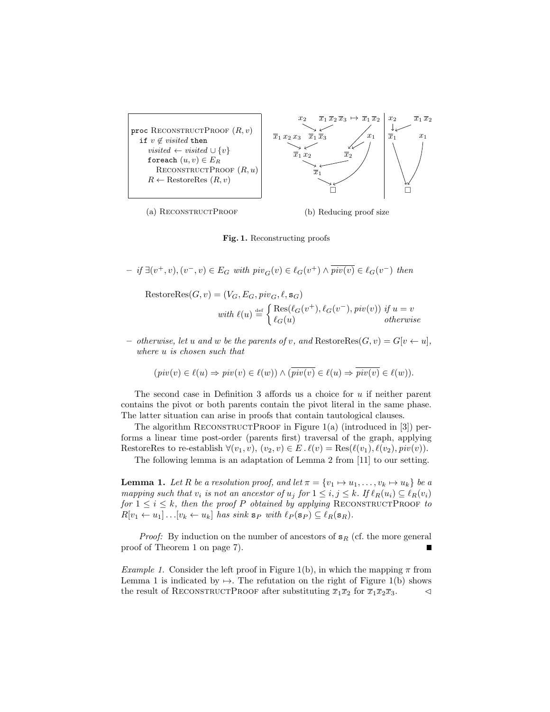

Fig. 1. Reconstructing proofs

- if 
$$
\exists (v^+, v), (v^-, v) \in E_G
$$
 with  $piv_G(v) \in \ell_G(v^+) \wedge \overline{piv(v)} \in \ell_G(v^-)$  then

 $\text{RestoreRes}(G, v) = (V_G, E_G, piv_G, \ell, \mathbf{s}_G)$ with  $\ell(u) \stackrel{\text{def}}{=} \begin{cases} \text{Res}(\ell_G(v^+), \ell_G(v^-), \text{piv}(v)) & \text{if } u = v \\ \ell(\ell(u)) & \text{otherwise} \end{cases}$  $\ell_G(u)$  otherwise

otherwise, let u and w be the parents of v, and  $\text{RestoreRes}(G, v) = G[v \leftarrow u],$ where u is chosen such that

$$
\left(\mathop{\mathit{piv}}(v)\in \ell(u)\Rightarrow \mathop{\mathit{piv}}(v)\in \ell(w)\right)\wedge (\overline{\mathop{\mathit{piv}}(v)}\in \ell(u)\Rightarrow \overline{\mathop{\mathit{piv}}(v)}\in \ell(w)).
$$

The second case in Definition 3 affords us a choice for  $u$  if neither parent contains the pivot or both parents contain the pivot literal in the same phase. The latter situation can arise in proofs that contain tautological clauses.

The algorithm RECONSTRUCTPROOF in Figure  $1(a)$  (introduced in [3]) performs a linear time post-order (parents first) traversal of the graph, applying RestoreRes to re-establish  $\forall (v_1, v), (v_2, v) \in E \ldotp \ell(v) = \text{Res}(\ell(v_1), \ell(v_2), \text{piv}(v)).$ 

The following lemma is an adaptation of Lemma 2 from [11] to our setting.

**Lemma 1.** Let R be a resolution proof, and let  $\pi = \{v_1 \mapsto u_1, \ldots, v_k \mapsto u_k\}$  be a mapping such that  $v_i$  is not an ancestor of  $u_j$  for  $1 \le i, j \le k$ . If  $\ell_R(u_i) \subseteq \ell_R(v_i)$ for  $1 \leq i \leq k$ , then the proof P obtained by applying RECONSTRUCTPROOF to  $R[v_1 \leftarrow u_1] \dots [v_k \leftarrow u_k]$  has sink  $\mathbf{s}_P$  with  $\ell_P(\mathbf{s}_P) \subseteq \ell_R(\mathbf{s}_R)$ .

*Proof:* By induction on the number of ancestors of  $s_R$  (cf. the more general proof of Theorem 1 on page 7).

Example 1. Consider the left proof in Figure 1(b), in which the mapping  $\pi$  from Lemma 1 is indicated by  $\mapsto$ . The refutation on the right of Figure 1(b) shows the result of RECONSTRUCTPROOF after substituting  $\overline{x}_1\overline{x}_2$  for  $\overline{x}_1\overline{x}_2\overline{x}_3$ .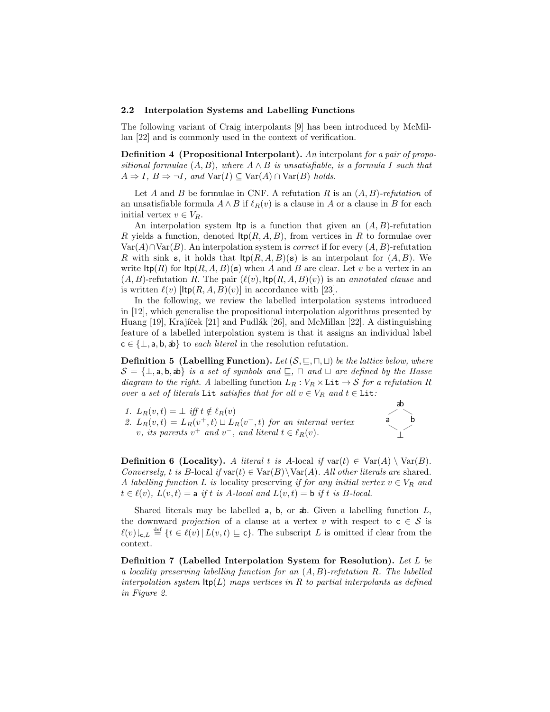#### 2.2 Interpolation Systems and Labelling Functions

The following variant of Craig interpolants [9] has been introduced by McMillan [22] and is commonly used in the context of verification.

**Definition 4** (Propositional Interpolant). An interpolant for a pair of propositional formulae  $(A, B)$ , where  $A \wedge B$  is unsatisfiable, is a formula I such that  $A \Rightarrow I, B \Rightarrow \neg I, \text{ and } \text{Var}(I) \subseteq \text{Var}(A) \cap \text{Var}(B) \text{ holds.}$ 

Let A and B be formulae in CNF. A refutation R is an  $(A, B)$ -refutation of an unsatisfiable formula  $A \wedge B$  if  $\ell_R(v)$  is a clause in A or a clause in B for each initial vertex  $v \in V_R$ .

An interpolation system Itp is a function that given an  $(A, B)$ -refutation R yields a function, denoted  $\text{ltp}(R, A, B)$ , from vertices in R to formulae over  $Var(A) \cap Var(B)$ . An interpolation system is *correct* if for every  $(A, B)$ -refutation R with sink s, it holds that  $\text{ltp}(R, A, B)(s)$  is an interpolant for  $(A, B)$ . We write  $\text{ltp}(R)$  for  $\text{ltp}(R, A, B)(s)$  when A and B are clear. Let v be a vertex in an  $(A, B)$ -refutation R. The pair  $(\ell(v), \text{ltp}(R, A, B)(v))$  is an annotated clause and is written  $\ell(v)$  [Itp(R, A, B)(v)] in accordance with [23].

In the following, we review the labelled interpolation systems introduced in [12], which generalise the propositional interpolation algorithms presented by Huang  $[19]$ , Krajíček  $[21]$  and Pudlák  $[26]$ , and McMillan  $[22]$ . A distinguishing feature of a labelled interpolation system is that it assigns an individual label  $c \in \{\perp, a, b, ab\}$  to each literal in the resolution refutation.

**Definition 5 (Labelling Function).** Let  $(S, \subseteq, \sqcap, \sqcup)$  be the lattice below, where  $S = \{\perp, \text{a}, \text{b}, \text{ab}\}\$ is a set of symbols and  $\sqsubseteq$ ,  $\sqcap$  and  $\sqcup$  are defined by the Hasse diagram to the right. A labelling function  $L_R : V_R \times \text{Lit} \rightarrow S$  for a refutation R over a set of literals Lit satisfies that for all  $v \in V_R$  and  $t \in$  Lit:

- 1.  $L_R(v, t) = \perp \text{ iff } t \notin \ell_R(v)$
- 2.  $L_R(v,t) = L_R(v^+,t) \sqcup L_R(v^-,t)$  for an internal vertex v, its parents  $v^+$  and  $v^-$ , and literal  $t \in \ell_R(v)$ .



**Definition 6 (Locality).** A literal t is A-local if  $var(t) \in Var(A) \setminus Var(B)$ . Conversely, t is B-local if  $var(t) \in Var(B) \setminus Var(A)$ . All other literals are shared. A labelling function L is locality preserving if for any initial vertex  $v \in V_R$  and  $t \in \ell(v)$ ,  $L(v, t) = a$  if t is A-local and  $L(v, t) = b$  if t is B-local.

Shared literals may be labelled a, b, or  $\phi$ . Given a labelling function L, the downward *projection* of a clause at a vertex v with respect to  $c \in S$  is  $\ell(v)|_{\mathsf{c},L} \stackrel{\text{def}}{=} \{t \in \ell(v) \mid L(v,t) \sqsubseteq \mathsf{c}\}.$  The subscript L is omitted if clear from the context.

Definition 7 (Labelled Interpolation System for Resolution). Let L be a locality preserving labelling function for an  $(A, B)$ -refutation R. The labelled interpolation system  $\text{ltp}(L)$  maps vertices in R to partial interpolants as defined in Figure 2.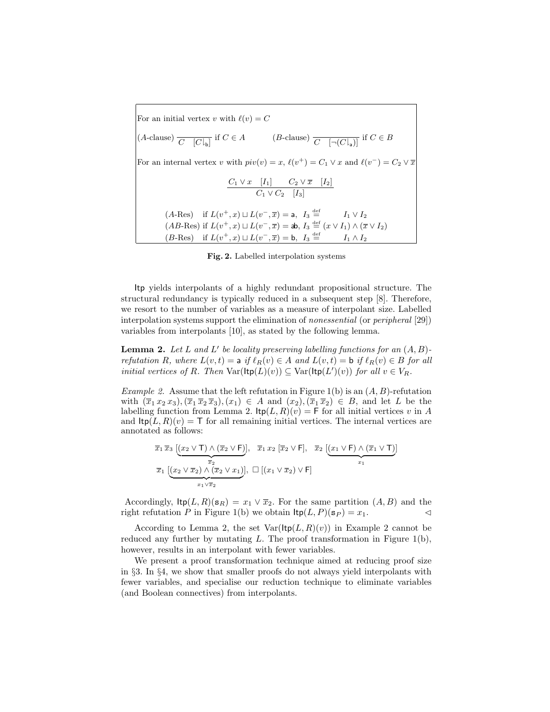For an initial vertex v with  $\ell(v) = C$ (A-clause)  $\overline{C \mid [C|_b]}$  if  $C \in A$  (B-clause)  $\overline{C \mid [-(C|_a)]}$  if  $C \in B$ For an internal vertex v with  $piv(v) = x$ ,  $\ell(v^+) = C_1 \vee x$  and  $\ell(v^-) = C_2 \vee \overline{x}$  $C_1 \vee x \quad [I_1] \qquad C_2 \vee \overline{x} \quad [I_2]$  $C_1 \vee C_2$  [I<sub>3</sub>]  $(A\text{-Res})$  if  $L(v^+,x) \sqcup L(v^-, \overline{x}) = \mathsf{a}, \ I_3$  $I_1 \vee I_2$  $(AB\text{-}Res)$  if  $L(v^+,x) \sqcup L(v^-, \overline{x}) =$  ab,  $I_3 \stackrel{\text{def}}{=} (x \vee I_1) \wedge (\overline{x} \vee I_2)$  $(B\text{-}\mathrm{Res})$  if  $L(v^+,x) \sqcup L(v^-, \overline{x}) = \mathsf{b}, \ I_3 \stackrel{\text{def}}{=} I_1 \wedge I_2$ 

Fig. 2. Labelled interpolation systems

Itp yields interpolants of a highly redundant propositional structure. The structural redundancy is typically reduced in a subsequent step [8]. Therefore, we resort to the number of variables as a measure of interpolant size. Labelled interpolation systems support the elimination of nonessential (or peripheral [29]) variables from interpolants [10], as stated by the following lemma.

**Lemma 2.** Let L and L' be locality preserving labelling functions for an  $(A, B)$ refutation R, where  $L(v, t) = a$  if  $\ell_R(v) \in A$  and  $L(v, t) = b$  if  $\ell_R(v) \in B$  for all initial vertices of R. Then  $\text{Var}(\text{ltp}(L)(v)) \subseteq \text{Var}(\text{ltp}(L')(v))$  for all  $v \in V_R$ .

Example 2. Assume that the left refutation in Figure 1(b) is an  $(A, B)$ -refutation with  $(\overline{x}_1 x_2 x_3),(\overline{x}_1 \overline{x}_2 \overline{x}_3),(\overline{x}_1) \in A$  and  $(x_2),(\overline{x}_1 \overline{x}_2) \in B$ , and let L be the labelling function from Lemma 2.  $\text{ltp}(L, R)(v) = \text{F}$  for all initial vertices v in A and  $\text{ltp}(L, R)(v) = \text{T}$  for all remaining initial vertices. The internal vertices are annotated as follows:

$$
\overline{x}_1 \overline{x}_3 \underbrace{[(x_2 \vee \mathsf{T}) \wedge (\overline{x}_2 \vee \mathsf{F})]}_{\overline{x}_2}, \quad \overline{x}_1 x_2 \underbrace{[\overline{x}_2 \vee \mathsf{F}]}_{\overline{x}_1} , \quad \overline{x}_2 \underbrace{[(x_1 \vee \mathsf{F}) \wedge (\overline{x}_1 \vee \mathsf{T})]}_{\overline{x}_1}
$$
\n
$$
\overline{x}_1 \underbrace{[(x_2 \vee \overline{x}_2) \wedge (\overline{x}_2 \vee x_1)]}_{\overline{x}_1 \vee \overline{x}_2}, \quad \Box \left[ (x_1 \vee \overline{x}_2) \vee \mathsf{F} \right]
$$

Accordingly,  $\text{ltp}(L, R)(s_R) = x_1 \vee \overline{x}_2$ . For the same partition  $(A, B)$  and the right refutation P in Figure 1(b) we obtain  $\text{ltp}(L, P)(s_P) = x_1$ .

According to Lemma 2, the set  $Var(\text{ltp}(L, R)(v))$  in Example 2 cannot be reduced any further by mutating  $L$ . The proof transformation in Figure 1(b), however, results in an interpolant with fewer variables.

We present a proof transformation technique aimed at reducing proof size in §3. In §4, we show that smaller proofs do not always yield interpolants with fewer variables, and specialise our reduction technique to eliminate variables (and Boolean connectives) from interpolants.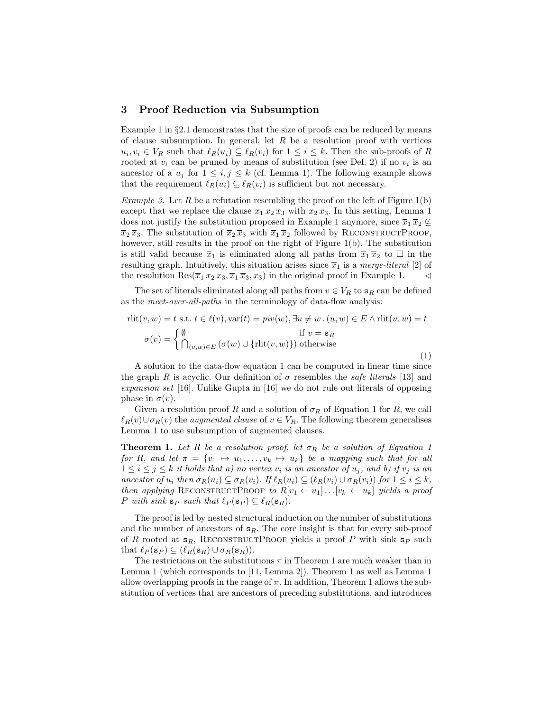## 3 Proof Reduction via Subsumption

Example 1 in  $\S2.1$  demonstrates that the size of proofs can be reduced by means of clause subsumption. In general, let  $R$  be a resolution proof with vertices  $u_i, v_i \in V_R$  such that  $\ell_R(u_i) \subseteq \ell_R(v_i)$  for  $1 \leq i \leq k$ . Then the sub-proofs of R rooted at  $v_i$  can be pruned by means of substitution (see Def. 2) if no  $v_i$  is an ancestor of a  $u_j$  for  $1 \le i, j \le k$  (cf. Lemma 1). The following example shows that the requirement  $\ell_R(u_i) \subseteq \ell_R(v_i)$  is sufficient but not necessary.

*Example 3.* Let R be a refutation resembling the proof on the left of Figure 1(b) except that we replace the clause  $\overline{x}_1 \overline{x}_2 \overline{x}_3$  with  $\overline{x}_2 \overline{x}_3$ . In this setting, Lemma 1 does not justify the substitution proposed in Example 1 anymore, since  $\overline{x}_1 \overline{x}_2 \nsubseteq$  $\overline{x}_2 \overline{x}_3$ . The substitution of  $\overline{x}_2 \overline{x}_3$  with  $\overline{x}_1 \overline{x}_2$  followed by RECONSTRUCTPROOF, however, still results in the proof on the right of Figure 1(b). The substitution is still valid because  $\bar{x}_1$  is eliminated along all paths from  $\bar{x}_1 \bar{x}_2$  to  $\Box$  in the resulting graph. Intuitively, this situation arises since  $\overline{x}_1$  is a *merge-literal* [2] of the resolution  $\text{Res}(\overline{x}_1 x_2 x_3, \overline{x}_1 \overline{x}_3, x_3)$  in the original proof in Example 1.  $\lhd$ 

The set of literals eliminated along all paths from  $v \in V_R$  to  $\mathbf{s}_R$  can be defined as the meet-over-all-paths in the terminology of data-flow analysis:

$$
rlit(v, w) = t \text{ s.t. } t \in \ell(v), \text{var}(t) = piv(w), \exists u \neq w \cdot (u, w) \in E \land rlit(u, w) = \overline{t}
$$

$$
\sigma(v) = \begin{cases} \emptyset & \text{if } v = \mathbf{s}_R \\ \bigcap_{(v, w) \in E} (\sigma(w) \cup \{\text{rlit}(v, w)\}) \text{ otherwise} \end{cases}
$$
(1)

A solution to the data-flow equation 1 can be computed in linear time since the graph R is acyclic. Our definition of  $\sigma$  resembles the *safe literals* [13] and expansion set [16]. Unlike Gupta in [16] we do not rule out literals of opposing phase in  $\sigma(v)$ .

Given a resolution proof R and a solution of  $\sigma_R$  of Equation 1 for R, we call  $\ell_R(v) \cup \sigma_R(v)$  the *augmented clause* of  $v \in V_R$ . The following theorem generalises Lemma 1 to use subsumption of augmented clauses.

**Theorem 1.** Let R be a resolution proof, let  $\sigma_R$  be a solution of Equation 1 for R, and let  $\pi = \{v_1 \mapsto u_1, \ldots, v_k \mapsto u_k\}$  be a mapping such that for all  $1 \leq i \leq j \leq k$  it holds that a) no vertex  $v_i$  is an ancestor of  $u_j$ , and b) if  $v_j$  is an ancestor of  $u_i$  then  $\sigma_R(u_i) \subseteq \sigma_R(v_i)$ . If  $\ell_R(u_i) \subseteq (\ell_R(v_i) \cup \sigma_R(v_i))$  for  $1 \leq i \leq k$ , then applying RECONSTRUCTPROOF to  $R[v_1 \leftarrow u_1] \dots [v_k \leftarrow u_k]$  yields a proof P with sink  $s_P$  such that  $\ell_P(s_P) \subseteq \ell_R(s_R)$ .

The proof is led by nested structural induction on the number of substitutions and the number of ancestors of  $s_R$ . The core insight is that for every sub-proof of R rooted at  $s_R$ , RECONSTRUCTPROOF yields a proof P with sink  $s_P$  such that  $\ell_P (\mathbf{s}_P) \subseteq (\ell_R (\mathbf{s}_R) \cup \sigma_R (\mathbf{s}_R)).$ 

The restrictions on the substitutions  $\pi$  in Theorem 1 are much weaker than in Lemma 1 (which corresponds to [11, Lemma 2]). Theorem 1 as well as Lemma 1 allow overlapping proofs in the range of  $\pi$ . In addition, Theorem 1 allows the substitution of vertices that are ancestors of preceding substitutions, and introduces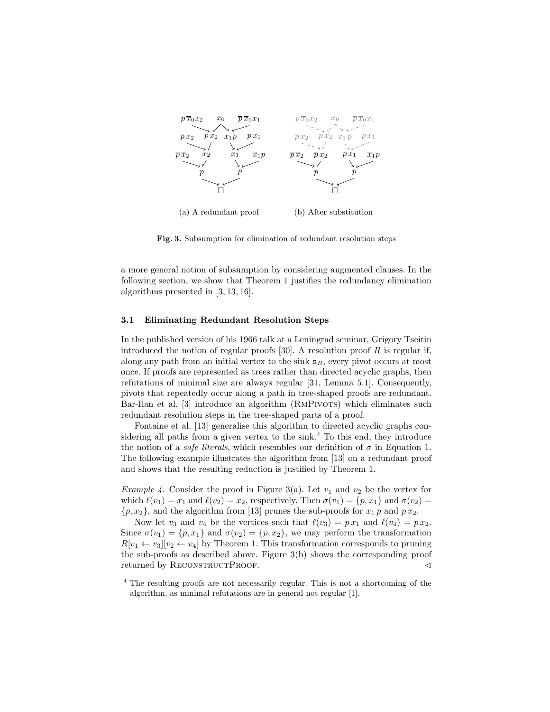

Fig. 3. Subsumption for elimination of redundant resolution steps

a more general notion of subsumption by considering augmented clauses. In the following section, we show that Theorem 1 justifies the redundancy elimination algorithms presented in [3, 13, 16].

#### 3.1 Eliminating Redundant Resolution Steps

In the published version of his 1966 talk at a Leningrad seminar, Grigory Tseitin introduced the notion of regular proofs  $[30]$ . A resolution proof R is regular if, along any path from an initial vertex to the sink  $s_R$ , every pivot occurs at most once. If proofs are represented as trees rather than directed acyclic graphs, then refutations of minimal size are always regular [31, Lemma 5.1]. Consequently, pivots that repeatedly occur along a path in tree-shaped proofs are redundant. Bar-Ilan et al. [3] introduce an algorithm (RMPIVOTS) which eliminates such redundant resolution steps in the tree-shaped parts of a proof.

Fontaine et al. [13] generalise this algorithm to directed acyclic graphs considering all paths from a given vertex to the sink.<sup>4</sup> To this end, they introduce the notion of a *safe literals*, which resembles our definition of  $\sigma$  in Equation 1. The following example illustrates the algorithm from [13] on a redundant proof and shows that the resulting reduction is justified by Theorem 1.

*Example 4.* Consider the proof in Figure 3(a). Let  $v_1$  and  $v_2$  be the vertex for which  $\ell(v_1) = x_1$  and  $\ell(v_2) = x_2$ , respectively. Then  $\sigma(v_1) = \{p, x_1\}$  and  $\sigma(v_2) =$  ${\bar{p}, x_2}$ , and the algorithm from [13] prunes the sub-proofs for  $x_1 \bar{p}$  and  $p x_2$ .

Now let  $v_3$  and  $v_4$  be the vertices such that  $\ell(v_3) = p x_1$  and  $\ell(v_4) = \overline{p} x_2$ . Since  $\sigma(v_1) = \{p, x_1\}$  and  $\sigma(v_2) = \{\overline{p}, x_2\}$ , we may perform the transformation  $R[v_1 \leftarrow v_3][v_2 \leftarrow v_4]$  by Theorem 1. This transformation corresponds to pruning the sub-proofs as described above. Figure 3(b) shows the corresponding proof returned by RECONSTRUCTPROOF.  $\triangleleft$ 

<sup>4</sup> The resulting proofs are not necessarily regular. This is not a shortcoming of the algorithm, as minimal refutations are in general not regular [1].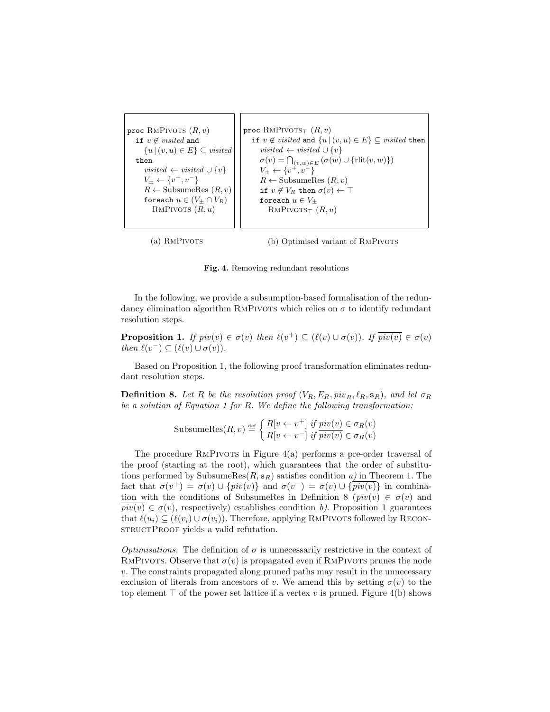proc  $\text{RMP}$ ivots  $(R, v)$ if  $v \notin visited$  and  ${u | (v, u) \in E} \subseteq visited$ then visited ← visited  $\cup \{v\}$  $V_{\pm} \leftarrow \{v^+, v^-\}$  $R \leftarrow$  SubsumeRes  $(R, v)$ foreach  $u \in (V_{\pm} \cap V_R)$ RMPIVOTS  $(R, u)$ proc RMPIVOTS $<sub>T</sub>$   $(R, v)$ </sub> if  $v \notin visited$  and  $\{u \mid (v, u) \in E\} \subseteq visited$  then visited ← visited  $\cup \{v\}$  $\sigma(v) = \bigcap_{(v,w)\in E} (\sigma(w) \cup \{ \text{rlit}(v,w) \})$  $V_{\pm} \leftarrow \{v^+, v^-\}$  $R \leftarrow$  SubsumeRes  $(R, v)$ if  $v \notin V_R$  then  $\sigma(v) \leftarrow \top$ foreach  $u \in V_{\pm}$  $\text{RMPIVOTS}_{\top}$   $(R, u)$ 

(a) RMPIVOTS

(b) Optimised variant of RMPIVOTS

Fig. 4. Removing redundant resolutions

In the following, we provide a subsumption-based formalisation of the redundancy elimination algorithm RMPIVOTS which relies on  $\sigma$  to identify redundant resolution steps.

**Proposition 1.** If  $piv(v) \in \sigma(v)$  then  $\ell(v^+) \subseteq (\ell(v) \cup \sigma(v))$ . If  $\overline{piv(v)} \in \sigma(v)$ then  $\ell(v^-) \subseteq (\ell(v) \cup \sigma(v)).$ 

Based on Proposition 1, the following proof transformation eliminates redundant resolution steps.

**Definition 8.** Let R be the resolution proof  $(V_R, E_R, piv_R, \ell_R, \mathbf{s}_R)$ , and let  $\sigma_R$ be a solution of Equation 1 for R. We define the following transformation:

SubsumeRes
$$
(R, v)
$$
  $\stackrel{\text{def}}{=} \begin{cases} R[v \leftarrow v^+] & \text{if } piv(v) \in \sigma_R(v) \\ R[v \leftarrow v^-] & \text{if } piv(v) \in \sigma_R(v) \end{cases}$ 

The procedure RMPIVOTS in Figure  $4(a)$  performs a pre-order traversal of the proof (starting at the root), which guarantees that the order of substitutions performed by SubsumeRes $(R, s_R)$  satisfies condition a) in Theorem 1. The fact that  $\sigma(v^+) = \sigma(v) \cup \{piv(v)\}\$ and  $\sigma(v^-) = \sigma(v) \cup \{\overline{piv(v)}\}\$ in combination with the conditions of SubsumeRes in Definition 8 ( $pi(v) \in \sigma(v)$  and  $pi(v) \in \sigma(v)$ , respectively) establishes condition b). Proposition 1 guarantees that  $\ell(u_i) \subseteq (\ell(v_i) \cup \sigma(v_i))$ . Therefore, applying RMPIVOTS followed by RECONstructProof yields a valid refutation.

*Optimisations.* The definition of  $\sigma$  is unnecessarily restrictive in the context of RMPIVOTS. Observe that  $\sigma(v)$  is propagated even if RMPIVOTS prunes the node v. The constraints propagated along pruned paths may result in the unnecessary exclusion of literals from ancestors of v. We amend this by setting  $\sigma(v)$  to the top element  $\top$  of the power set lattice if a vertex v is pruned. Figure 4(b) shows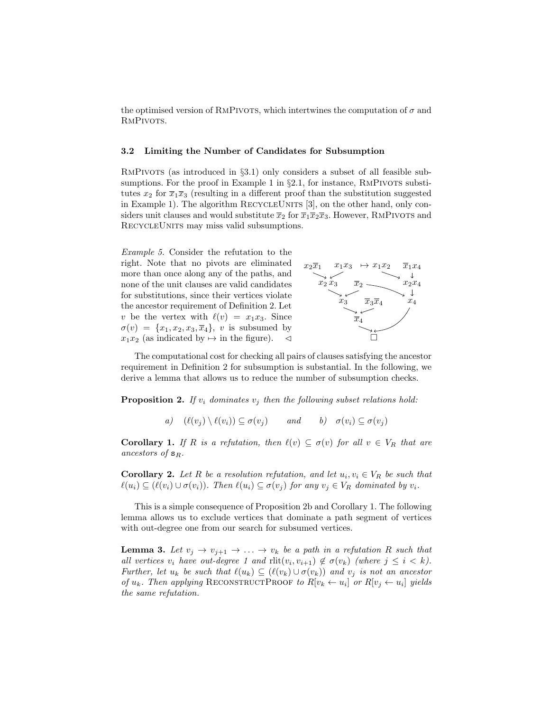the optimised version of RMPIVOTS, which intertwines the computation of  $\sigma$  and RMPIVOTS.

#### 3.2 Limiting the Number of Candidates for Subsumption

RMPIVOTS (as introduced in §3.1) only considers a subset of all feasible subsumptions. For the proof in Example 1 in  $\S 2.1$ , for instance, RMPIVOTS substitutes  $x_2$  for  $\overline{x}_1\overline{x}_3$  (resulting in a different proof than the substitution suggested in Example 1). The algorithm RECYCLEUNITS [3], on the other hand, only considers unit clauses and would substitute  $\overline{x}_2$  for  $\overline{x}_1\overline{x}_2\overline{x}_3$ . However, RMPIVOTS and RECYCLEUNITS may miss valid subsumptions.

Example 5. Consider the refutation to the right. Note that no pivots are eliminated more than once along any of the paths, and none of the unit clauses are valid candidates for substitutions, since their vertices violate the ancestor requirement of Definition 2. Let v be the vertex with  $\ell(v) = x_1x_3$ . Since  $\sigma(v) = \{x_1, x_2, x_3, \overline{x}_4\}, v$  is subsumed by  $x_1x_2$  (as indicated by  $\mapsto$  in the figure).  $\triangleleft$ 



The computational cost for checking all pairs of clauses satisfying the ancestor requirement in Definition 2 for subsumption is substantial. In the following, we derive a lemma that allows us to reduce the number of subsumption checks.

**Proposition 2.** If  $v_i$  dominates  $v_j$  then the following subset relations hold:

a)  $(\ell(v_i) \setminus \ell(v_i)) \subseteq \sigma(v_i)$  and b)  $\sigma(v_i) \subseteq \sigma(v_i)$ 

**Corollary 1.** If R is a refutation, then  $\ell(v) \subseteq \sigma(v)$  for all  $v \in V_R$  that are ancestors of  $s_R$ .

**Corollary 2.** Let R be a resolution refutation, and let  $u_i, v_i \in V_R$  be such that  $\ell(u_i) \subseteq (\ell(v_i) \cup \sigma(v_i))$ . Then  $\ell(u_i) \subseteq \sigma(v_i)$  for any  $v_i \in V_R$  dominated by  $v_i$ .

This is a simple consequence of Proposition 2b and Corollary 1. The following lemma allows us to exclude vertices that dominate a path segment of vertices with out-degree one from our search for subsumed vertices.

**Lemma 3.** Let  $v_j \to v_{j+1} \to \ldots \to v_k$  be a path in a refutation R such that all vertices  $v_i$  have out-degree 1 and  $\text{rlit}(v_i, v_{i+1}) \notin \sigma(v_k)$  (where  $j \leq i < k$ ). Further, let  $u_k$  be such that  $\ell(u_k) \subseteq (\ell(v_k) \cup \sigma(v_k))$  and  $v_j$  is not an ancestor of  $u_k$ . Then applying RECONSTRUCTPROOF to  $R[v_k \leftarrow u_i]$  or  $R[v_j \leftarrow u_i]$  yields the same refutation.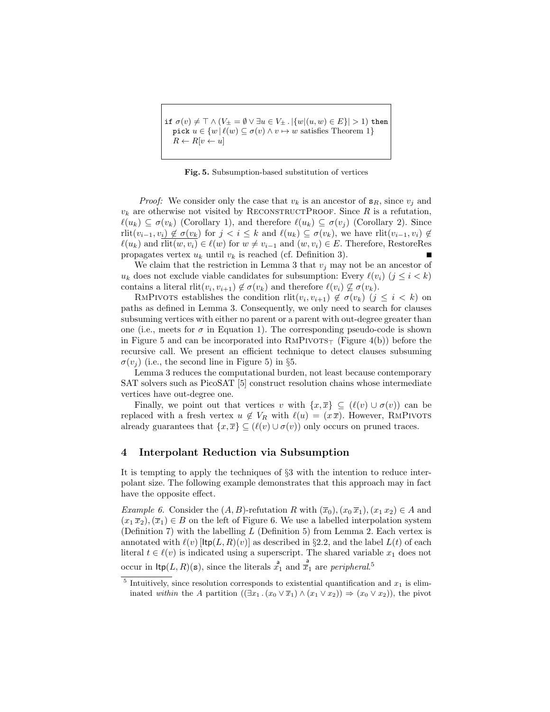if  $\sigma(v) \neq \top \wedge (V_{\pm} = \emptyset \vee \exists u \in V_{\pm} . |\{w|(u, w) \in E\}| > 1)$  then pick  $u \in \{w \mid \ell(w) \subseteq \sigma(v) \land v \mapsto w \text{ satisfies Theorem 1}\}\$  $R \leftarrow R[v \leftarrow u]$ 

Fig. 5. Subsumption-based substitution of vertices

*Proof:* We consider only the case that  $v_k$  is an ancestor of  $\mathbf{s}_R$ , since  $v_j$  and  $v_k$  are otherwise not visited by RECONSTRUCTPROOF. Since R is a refutation,  $\ell(u_k) \subseteq \sigma(v_k)$  (Corollary 1), and therefore  $\ell(u_k) \subseteq \sigma(v_j)$  (Corollary 2). Since rlit $(v_{i-1}, v_i) \notin \sigma(v_k)$  for  $j < i \leq k$  and  $\ell(u_k) \subseteq \sigma(v_k)$ , we have rlit $(v_{i-1}, v_i) \notin \mathcal{L}$  $\ell(u_k)$  and rlit $(w, v_i) \in \ell(w)$  for  $w \neq v_{i-1}$  and  $(w, v_i) \in E$ . Therefore, RestoreRes propagates vertex  $u_k$  until  $v_k$  is reached (cf. Definition 3). Г

We claim that the restriction in Lemma 3 that  $v_i$  may not be an ancestor of  $u_k$  does not exclude viable candidates for subsumption: Every  $\ell(v_i)$  ( $j \leq i < k$ ) contains a literal  $\text{rlit}(v_i, v_{i+1}) \notin \sigma(v_k)$  and therefore  $\ell(v_i) \not\subseteq \sigma(v_k)$ .

RMPIVOTS establishes the condition  $rlit(v_i, v_{i+1}) \notin \sigma(v_k)$   $(j \leq i \leq k)$  on paths as defined in Lemma 3. Consequently, we only need to search for clauses subsuming vertices with either no parent or a parent with out-degree greater than one (i.e., meets for  $\sigma$  in Equation 1). The corresponding pseudo-code is shown in Figure 5 and can be incorporated into  $\text{RMPIVOTS}_{\top}$  (Figure 4(b)) before the recursive call. We present an efficient technique to detect clauses subsuming  $\sigma(v_i)$  (i.e., the second line in Figure 5) in §5.

Lemma 3 reduces the computational burden, not least because contemporary SAT solvers such as PicoSAT [5] construct resolution chains whose intermediate vertices have out-degree one.

Finally, we point out that vertices v with  $\{x,\overline{x}\}\subseteq (\ell(v) \cup \sigma(v))$  can be replaced with a fresh vertex  $u \notin V_R$  with  $\ell(u) = (x \overline{x})$ . However, RMPIVOTS already guarantees that  $\{x,\overline{x}\}\subseteq (\ell(v) \cup \sigma(v))$  only occurs on pruned traces.

#### 4 Interpolant Reduction via Subsumption

It is tempting to apply the techniques of §3 with the intention to reduce interpolant size. The following example demonstrates that this approach may in fact have the opposite effect.

Example 6. Consider the  $(A, B)$ -refutation R with  $(\overline{x}_0), (x_0 \overline{x}_1), (x_1 x_2) \in A$  and  $(x_1 \overline{x}_2),(\overline{x}_1) \in B$  on the left of Figure 6. We use a labelled interpolation system (Definition 7) with the labelling  $L$  (Definition 5) from Lemma 2. Each vertex is annotated with  $\ell(v)$  [ $\text{ltp}(L, R)(v)$ ] as described in §2.2, and the label  $L(t)$  of each literal  $t \in \ell(v)$  is indicated using a superscript. The shared variable  $x_1$  does not occur in  $\text{ltp}(L, R)(s)$ , since the literals  $\mathring{x}_1^a$  and  $\mathring{x}_1^a$  are *peripheral*.<sup>5</sup>

<sup>&</sup>lt;sup>5</sup> Intuitively, since resolution corresponds to existential quantification and  $x_1$  is eliminated within the A partition  $((\exists x_1 \cdot (x_0 \vee \overline{x}_1) \wedge (x_1 \vee x_2)) \Rightarrow (x_0 \vee x_2))$ , the pivot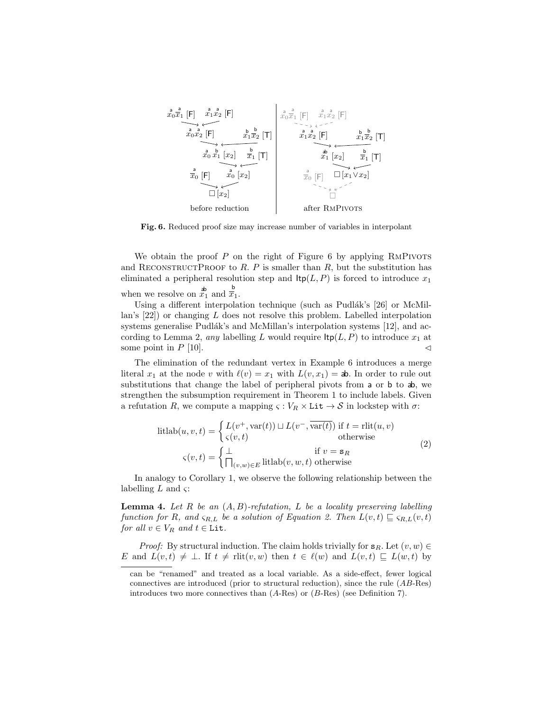

Fig. 6. Reduced proof size may increase number of variables in interpolant

We obtain the proof  $P$  on the right of Figure 6 by applying RMPIVOTS and RECONSTRUCTPROOF to  $R$ .  $P$  is smaller than  $R$ , but the substitution has eliminated a peripheral resolution step and  $\text{ltp}(L, P)$  is forced to introduce  $x_1$ when we resolve on  $\mathbf{x}_1^{\mathbf{b}}$  and  $\overline{\mathbf{x}}_1^{\mathbf{b}}$ .

Using a different interpolation technique (such as Pudlák's [26] or McMillan's  $[22]$ ) or changing L does not resolve this problem. Labelled interpolation systems generalise Pudlák's and McMillan's interpolation systems  $[12]$ , and according to Lemma 2, any labelling L would require  $\text{ltp}(L, P)$  to introduce  $x_1$  at some point in  $P$  [10].

The elimination of the redundant vertex in Example 6 introduces a merge literal  $x_1$  at the node v with  $\ell(v) = x_1$  with  $L(v, x_1) =$  ab. In order to rule out substitutions that change the label of peripheral pivots from  $a$  or  $b$  to  $a$ , we strengthen the subsumption requirement in Theorem 1 to include labels. Given a refutation R, we compute a mapping  $\varsigma : V_R \times \text{Lit} \to S$  in lockstep with  $\sigma$ :

$$
lithab(u, v, t) = \begin{cases} L(v^+, var(t)) \sqcup L(v^-, \overline{var(t)}) & \text{if } t = rlit(u, v) \\ \varsigma(v, t) & \text{otherwise} \end{cases}
$$
  

$$
\varsigma(v, t) = \begin{cases} \bot & \text{if } v = \mathbf{s}_R \\ \bigcap_{(v, w) \in E} lithab(v, w, t) & \text{otherwise} \end{cases}
$$
 (2)

In analogy to Corollary 1, we observe the following relationship between the labelling  $L$  and  $\varsigma$ :

**Lemma 4.** Let R be an  $(A, B)$ -refutation, L be a locality preserving labelling function for R, and  $\varsigma_{R,L}$  be a solution of Equation 2. Then  $L(v, t) \subseteq \varsigma_{R,L}(v, t)$ for all  $v \in V_R$  and  $t \in \texttt{Lit}$ .

*Proof:* By structural induction. The claim holds trivially for  $s_R$ . Let  $(v, w) \in$ E and  $L(v, t) \neq \bot$ . If  $t \neq$  rlit $(v, w)$  then  $t \in \ell(w)$  and  $L(v, t) \sqsubseteq L(w, t)$  by

can be "renamed" and treated as a local variable. As a side-effect, fewer logical connectives are introduced (prior to structural reduction), since the rule (AB-Res) introduces two more connectives than  $(A$ -Res) or  $(B$ -Res) (see Definition 7).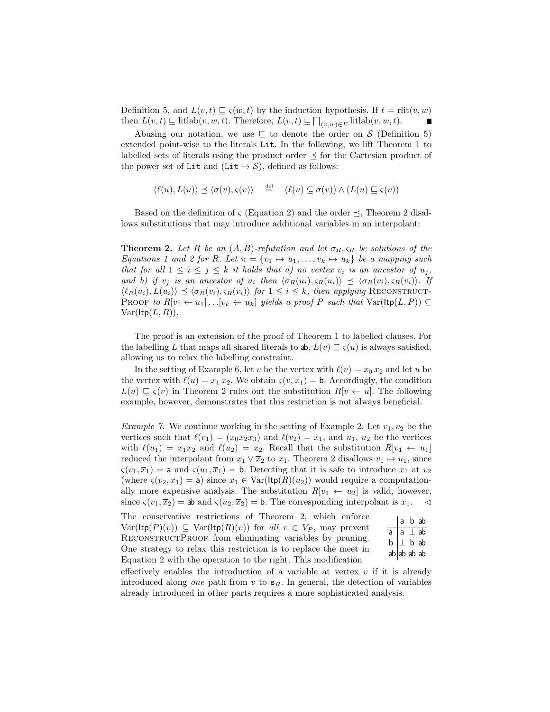Definition 5, and  $L(v, t) \sqsubseteq \varsigma(w, t)$  by the induction hypothesis. If  $t = \text{rlit}(v, w)$ then  $L(v, t) \sqsubseteq$  litlab $(v, w, t)$ . Therefore,  $L(v, t) \sqsubseteq \bigcap_{(v,w)\in E}$  litlab $(v, w, t)$ .

Abusing our notation, we use  $\subseteq$  to denote the order on S (Definition 5) extended point-wise to the literals Lit. In the following, we lift Theorem 1 to labelled sets of literals using the product order  $\prec$  for the Cartesian product of the power set of Lit and (Lit  $\rightarrow S$ ), defined as follows:

$$
\langle \ell(u), L(u) \rangle \preceq \langle \sigma(v), \varsigma(v) \rangle \stackrel{\text{def}}{=} (\ell(u) \subseteq \sigma(v)) \land (L(u) \sqsubseteq \varsigma(v))
$$

Based on the definition of  $\zeta$  (Equation 2) and the order  $\preceq$ , Theorem 2 disallows substitutions that may introduce additional variables in an interpolant:

**Theorem 2.** Let R be an  $(A, B)$ -refutation and let  $\sigma_R$ ,  $\varsigma_R$  be solutions of the Equations 1 and 2 for R. Let  $\pi = \{v_1 \mapsto u_1, \ldots, v_k \mapsto u_k\}$  be a mapping such that for all  $1 \leq i \leq j \leq k$  it holds that a) no vertex  $v_i$  is an ancestor of  $u_j$ , and b) if  $v_i$  is an ancestor of  $u_i$  then  $\langle \sigma_R(u_i), \varsigma_R(u_i) \rangle \preceq \langle \sigma_R(v_i), \varsigma_R(v_i) \rangle$ . If  $\langle \ell_R(u_i), L(u_i)\rangle \preceq \langle \sigma_R(v_i), \varsigma_R(v_i)\rangle$  for  $1 \leq i \leq k$ , then applying RECONSTRUCT-PROOF to  $R[v_1 \leftarrow u_1] \dots [v_k \leftarrow u_k]$  yields a proof P such that  $Var(\text{ltp}(L, P)) \subseteq$  $Var(\text{ltp}(L,R)).$ 

The proof is an extension of the proof of Theorem 1 to labelled clauses. For the labelling L that maps all shared literals to  $\mathbf{a}$ ,  $L(v) \sqsubseteq \varsigma(u)$  is always satisfied, allowing us to relax the labelling constraint.

In the setting of Example 6, let v be the vertex with  $\ell(v) = x_0 x_2$  and let u be the vertex with  $\ell(u) = x_1 x_2$ . We obtain  $\varsigma(v, x_1) =$  b. Accordingly, the condition  $L(u) \sqsubseteq \varsigma(v)$  in Theorem 2 rules out the substitution  $R[v \leftarrow u]$ . The following example, however, demonstrates that this restriction is not always beneficial.

*Example 7.* We continue working in the setting of Example 2. Let  $v_1, v_2$  be the vertices such that  $\ell(v_1) = (\overline{x}_0 \overline{x}_2 \overline{x}_3)$  and  $\ell(v_2) = \overline{x}_1$ , and  $u_1, u_2$  be the vertices with  $\ell(u_1) = \overline{x}_1\overline{x}_2$  and  $\ell(u_2) = \overline{x}_2$ . Recall that the substitution  $R[v_1 \leftarrow u_1]$ reduced the interpolant from  $x_1 \vee \overline{x}_2$  to  $x_1$ . Theorem 2 disallows  $v_1 \mapsto u_1$ , since  $\varsigma(v_1,\overline{x}_1)$  = a and  $\varsigma(u_1,\overline{x}_1)$  = b. Detecting that it is safe to introduce  $x_1$  at  $v_2$ (where  $\varsigma(v_2, x_1) = a$ ) since  $x_1 \in \text{Var}(\text{ltp}(R)(u_2))$  would require a computationally more expensive analysis. The substitution  $R[v_1 \leftarrow u_2]$  is valid, however, since  $\varsigma(v_1, \overline{x}_2) =$  ab and  $\varsigma(u_2, \overline{x}_2) =$  b. The corresponding interpolant is  $x_1$ .

The conservative restrictions of Theorem 2, which enforce  $Var(\text{ltp}(P)(v)) \subseteq Var(\text{ltp}(R)(v))$  for all  $v \in V_P$ , may prevent RECONSTRUCTPROOF from eliminating variables by pruning. One strategy to relax this restriction is to replace the meet in Equation 2 with the operation to the right. This modification

| $\begin{array}{ c c c }\hline & a & b & ab \\ \hline a & a & \bot & ab \\\hline \end{array}$                                                                                                                                                                                                                                                                                                                         |  |
|----------------------------------------------------------------------------------------------------------------------------------------------------------------------------------------------------------------------------------------------------------------------------------------------------------------------------------------------------------------------------------------------------------------------|--|
|                                                                                                                                                                                                                                                                                                                                                                                                                      |  |
|                                                                                                                                                                                                                                                                                                                                                                                                                      |  |
| $\begin{array}{c} \n\frac{1}{2} & \frac{1}{2} \\ \frac{1}{2} & \frac{1}{2} \\ \frac{1}{2} & \frac{1}{2} \\ \frac{1}{2} & \frac{1}{2} \\ \frac{1}{2} & \frac{1}{2} \\ \frac{1}{2} & \frac{1}{2} \\ \frac{1}{2} & \frac{1}{2} \\ \frac{1}{2} & \frac{1}{2} \\ \frac{1}{2} & \frac{1}{2} \\ \frac{1}{2} & \frac{1}{2} \\ \frac{1}{2} & \frac{1}{2} \\ \frac{1}{2} & \frac{1}{2} \\ \frac{1}{2} & \frac{1}{2} \\ \frac{$ |  |

effectively enables the introduction of a variable at vertex  $v$  if it is already introduced along one path from  $v$  to  $s_R$ . In general, the detection of variables already introduced in other parts requires a more sophisticated analysis.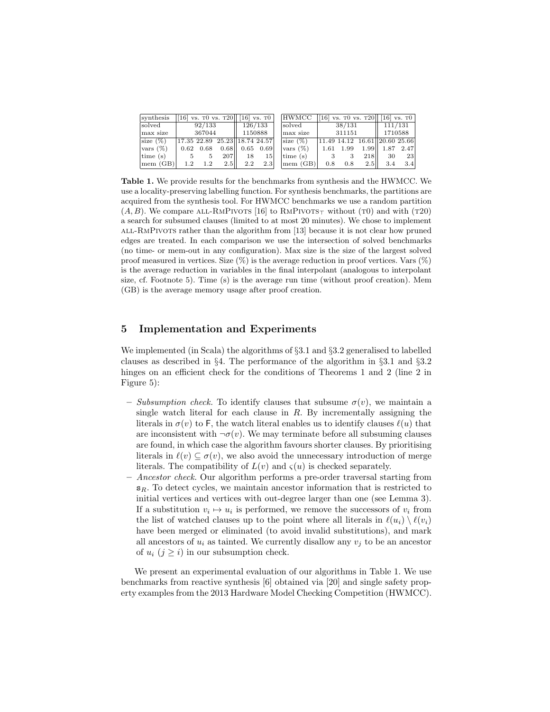| synthesis          |         |                   | [16] vs. $\overline{10}$ vs. $\overline{120}$ ] [16] vs. $\overline{10}$ ] |                    |                  | <b>HWMCC</b>                     |        |        | [16] vs. $\frac{10}{16}$ vs. $\frac{120}{16}$ vs. $\frac{10}{16}$ |                |         |  |
|--------------------|---------|-------------------|----------------------------------------------------------------------------|--------------------|------------------|----------------------------------|--------|--------|-------------------------------------------------------------------|----------------|---------|--|
| <i>solved</i>      | 92/133  |                   |                                                                            | 126/133            |                  | solved                           | 38/131 |        | 111/131                                                           |                |         |  |
| max size           |         | 367044            |                                                                            |                    | 1150888          | max size                         |        | 311151 |                                                                   |                | 1710588 |  |
| size $(\%)$        |         |                   | 17.35 22.89 25.23 18.74 24.57                                              |                    |                  | $ size(\%) $                     |        |        | $ 11.49\;14.12\;16.61  20.60\;25.66$                              |                |         |  |
| $\sqrt{2}$         |         | $0.62 \quad 0.68$ |                                                                            | $0.68$   0.65 0.69 |                  | $\frac{1}{2}$ vars $(\%)$        | 1.61   | 1.99   |                                                                   | 1.99 1.87 2.47 |         |  |
| $\vert$ time $(s)$ | $5 -$   |                   | 207 II                                                                     | 18                 | 15               | $\left  \text{time (s)} \right $ |        |        | 218 <sub>II</sub>                                                 | 30             | 23      |  |
| mem (GB)           | $1.2\,$ | 1.2               | 2.5                                                                        | 2.2                | 2.3 <sub>1</sub> | mem (GB)                         | 0.8    | 0.8    | $2.5$                                                             | 3.4            | 3.4     |  |

Table 1. We provide results for the benchmarks from synthesis and the HWMCC. We use a locality-preserving labelling function. For synthesis benchmarks, the partitions are acquired from the synthesis tool. For HWMCC benchmarks we use a random partition  $(A, B)$ . We compare ALL-RMPIVOTS [16] to RMPIVOTS<sub>T</sub> without (T0) and with (T20) a search for subsumed clauses (limited to at most 20 minutes). We chose to implement all-RmPivots rather than the algorithm from [13] because it is not clear how pruned edges are treated. In each comparison we use the intersection of solved benchmarks (no time- or mem-out in any configuration). Max size is the size of the largest solved proof measured in vertices. Size  $(\%)$  is the average reduction in proof vertices. Vars  $(\%)$ is the average reduction in variables in the final interpolant (analogous to interpolant size, cf. Footnote 5). Time (s) is the average run time (without proof creation). Mem (GB) is the average memory usage after proof creation.

# 5 Implementation and Experiments

We implemented (in Scala) the algorithms of §3.1 and §3.2 generalised to labelled clauses as described in §4. The performance of the algorithm in §3.1 and §3.2 hinges on an efficient check for the conditions of Theorems 1 and 2 (line 2 in Figure 5):

- Subsumption check. To identify clauses that subsume  $\sigma(v)$ , we maintain a single watch literal for each clause in  $R$ . By incrementally assigning the literals in  $\sigma(v)$  to F, the watch literal enables us to identify clauses  $\ell(u)$  that are inconsistent with  $\neg \sigma(v)$ . We may terminate before all subsuming clauses are found, in which case the algorithm favours shorter clauses. By prioritising literals in  $\ell(v) \subseteq \sigma(v)$ , we also avoid the unnecessary introduction of merge literals. The compatibility of  $L(v)$  and  $\zeta(u)$  is checked separately.
- Ancestor check. Our algorithm performs a pre-order traversal starting from  $s_R$ . To detect cycles, we maintain ancestor information that is restricted to initial vertices and vertices with out-degree larger than one (see Lemma 3). If a substitution  $v_i \mapsto u_i$  is performed, we remove the successors of  $v_i$  from the list of watched clauses up to the point where all literals in  $\ell(u_i) \setminus \ell(v_i)$ have been merged or eliminated (to avoid invalid substitutions), and mark all ancestors of  $u_i$  as tainted. We currently disallow any  $v_j$  to be an ancestor of  $u_i$   $(j \geq i)$  in our subsumption check.

We present an experimental evaluation of our algorithms in Table 1. We use benchmarks from reactive synthesis [6] obtained via [20] and single safety property examples from the 2013 Hardware Model Checking Competition (HWMCC).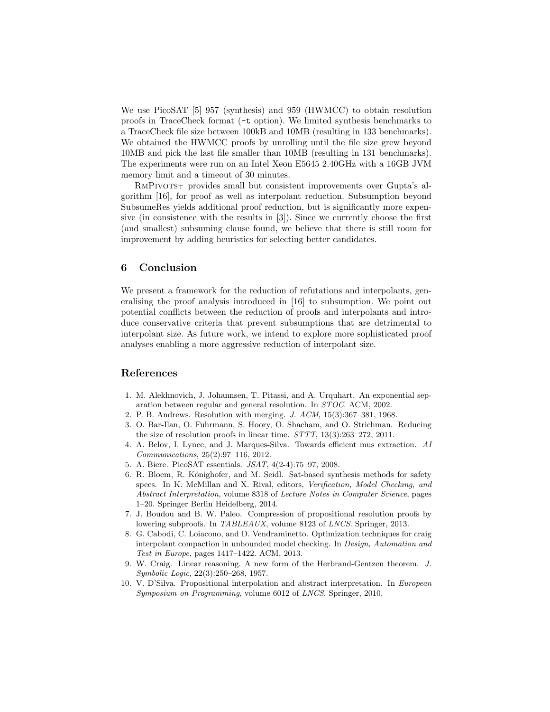We use PicoSAT [5] 957 (synthesis) and 959 (HWMCC) to obtain resolution proofs in TraceCheck format (-t option). We limited synthesis benchmarks to a TraceCheck file size between 100kB and 10MB (resulting in 133 benchmarks). We obtained the HWMCC proofs by unrolling until the file size grew beyond 10MB and pick the last file smaller than 10MB (resulting in 131 benchmarks). The experiments were run on an Intel Xeon E5645 2.40GHz with a 16GB JVM memory limit and a timeout of 30 minutes.

 $RMPivors<sub>T</sub>$  provides small but consistent improvements over Gupta's algorithm [16], for proof as well as interpolant reduction. Subsumption beyond SubsumeRes yields additional proof reduction, but is significantly more expensive (in consistence with the results in [3]). Since we currently choose the first (and smallest) subsuming clause found, we believe that there is still room for improvement by adding heuristics for selecting better candidates.

## 6 Conclusion

We present a framework for the reduction of refutations and interpolants, generalising the proof analysis introduced in [16] to subsumption. We point out potential conflicts between the reduction of proofs and interpolants and introduce conservative criteria that prevent subsumptions that are detrimental to interpolant size. As future work, we intend to explore more sophisticated proof analyses enabling a more aggressive reduction of interpolant size.

## References

- 1. M. Alekhnovich, J. Johannsen, T. Pitassi, and A. Urquhart. An exponential separation between regular and general resolution. In STOC. ACM, 2002.
- 2. P. B. Andrews. Resolution with merging. J. ACM, 15(3):367–381, 1968.
- 3. O. Bar-Ilan, O. Fuhrmann, S. Hoory, O. Shacham, and O. Strichman. Reducing the size of resolution proofs in linear time. STTT, 13(3):263–272, 2011.
- 4. A. Belov, I. Lynce, and J. Marques-Silva. Towards efficient mus extraction. AI Communications, 25(2):97–116, 2012.
- 5. A. Biere. PicoSAT essentials. JSAT, 4(2-4):75–97, 2008.
- 6. R. Bloem, R. Könighofer, and M. Seidl. Sat-based synthesis methods for safety specs. In K. McMillan and X. Rival, editors, Verification, Model Checking, and Abstract Interpretation, volume 8318 of Lecture Notes in Computer Science, pages 1–20. Springer Berlin Heidelberg, 2014.
- 7. J. Boudou and B. W. Paleo. Compression of propositional resolution proofs by lowering subproofs. In TABLEAUX, volume 8123 of LNCS. Springer, 2013.
- 8. G. Cabodi, C. Loiacono, and D. Vendraminetto. Optimization techniques for craig interpolant compaction in unbounded model checking. In Design, Automation and Test in Europe, pages 1417–1422. ACM, 2013.
- 9. W. Craig. Linear reasoning. A new form of the Herbrand-Gentzen theorem. J. Symbolic Logic, 22(3):250–268, 1957.
- 10. V. D'Silva. Propositional interpolation and abstract interpretation. In European Symposium on Programming, volume 6012 of LNCS. Springer, 2010.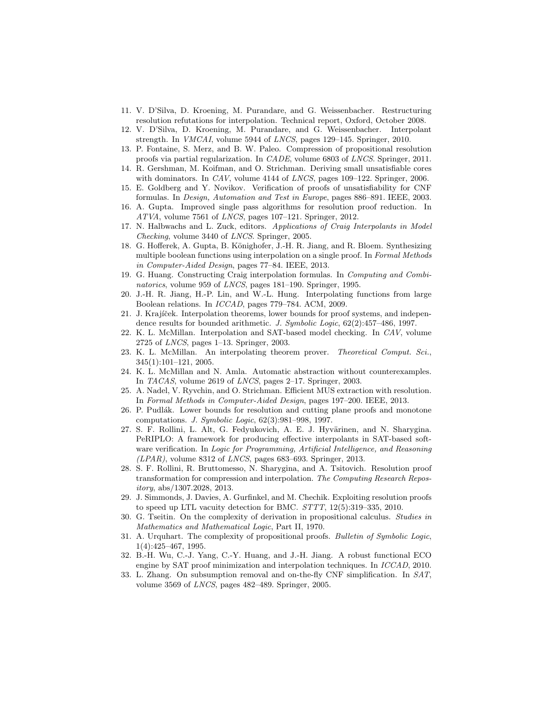- 11. V. D'Silva, D. Kroening, M. Purandare, and G. Weissenbacher. Restructuring resolution refutations for interpolation. Technical report, Oxford, October 2008.
- 12. V. D'Silva, D. Kroening, M. Purandare, and G. Weissenbacher. Interpolant strength. In VMCAI, volume 5944 of LNCS, pages 129–145. Springer, 2010.
- 13. P. Fontaine, S. Merz, and B. W. Paleo. Compression of propositional resolution proofs via partial regularization. In CADE, volume 6803 of LNCS. Springer, 2011.
- 14. R. Gershman, M. Koifman, and O. Strichman. Deriving small unsatisfiable cores with dominators. In CAV, volume 4144 of LNCS, pages 109–122. Springer, 2006.
- 15. E. Goldberg and Y. Novikov. Verification of proofs of unsatisfiability for CNF formulas. In Design, Automation and Test in Europe, pages 886–891. IEEE, 2003.
- 16. A. Gupta. Improved single pass algorithms for resolution proof reduction. In ATVA, volume 7561 of LNCS, pages 107–121. Springer, 2012.
- 17. N. Halbwachs and L. Zuck, editors. Applications of Craig Interpolants in Model Checking, volume 3440 of LNCS. Springer, 2005.
- 18. G. Hofferek, A. Gupta, B. Könighofer, J.-H. R. Jiang, and R. Bloem. Synthesizing multiple boolean functions using interpolation on a single proof. In Formal Methods in Computer-Aided Design, pages 77–84. IEEE, 2013.
- 19. G. Huang. Constructing Craig interpolation formulas. In Computing and Combinatorics, volume 959 of LNCS, pages 181-190. Springer, 1995.
- 20. J.-H. R. Jiang, H.-P. Lin, and W.-L. Hung. Interpolating functions from large Boolean relations. In ICCAD, pages 779–784. ACM, 2009.
- 21. J. Krajíček. Interpolation theorems, lower bounds for proof systems, and independence results for bounded arithmetic. J. Symbolic Logic, 62(2):457–486, 1997.
- 22. K. L. McMillan. Interpolation and SAT-based model checking. In CAV, volume 2725 of LNCS, pages 1–13. Springer, 2003.
- 23. K. L. McMillan. An interpolating theorem prover. Theoretical Comput. Sci., 345(1):101–121, 2005.
- 24. K. L. McMillan and N. Amla. Automatic abstraction without counterexamples. In TACAS, volume 2619 of LNCS, pages 2–17. Springer, 2003.
- 25. A. Nadel, V. Ryvchin, and O. Strichman. Efficient MUS extraction with resolution. In Formal Methods in Computer-Aided Design, pages 197–200. IEEE, 2013.
- 26. P. Pudlák. Lower bounds for resolution and cutting plane proofs and monotone computations. J. Symbolic Logic, 62(3):981–998, 1997.
- 27. S. F. Rollini, L. Alt, G. Fedyukovich, A. E. J. Hyvärinen, and N. Sharygina. PeRIPLO: A framework for producing effective interpolants in SAT-based software verification. In Logic for Programming, Artificial Intelligence, and Reasoning  $(LPAR)$ , volume 8312 of  $LNCS$ , pages 683-693. Springer, 2013.
- 28. S. F. Rollini, R. Bruttomesso, N. Sharygina, and A. Tsitovich. Resolution proof transformation for compression and interpolation. The Computing Research Repository, abs/1307.2028, 2013.
- 29. J. Simmonds, J. Davies, A. Gurfinkel, and M. Chechik. Exploiting resolution proofs to speed up LTL vacuity detection for BMC. STTT, 12(5):319–335, 2010.
- 30. G. Tseitin. On the complexity of derivation in propositional calculus. Studies in Mathematics and Mathematical Logic, Part II, 1970.
- 31. A. Urquhart. The complexity of propositional proofs. Bulletin of Symbolic Logic, 1(4):425–467, 1995.
- 32. B.-H. Wu, C.-J. Yang, C.-Y. Huang, and J.-H. Jiang. A robust functional ECO engine by SAT proof minimization and interpolation techniques. In ICCAD, 2010.
- 33. L. Zhang. On subsumption removal and on-the-fly CNF simplification. In SAT, volume 3569 of LNCS, pages 482–489. Springer, 2005.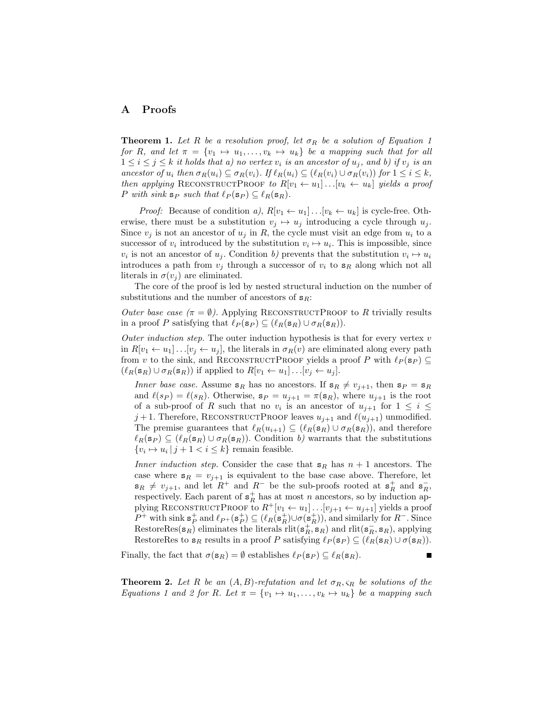## A Proofs

**Theorem 1.** Let R be a resolution proof, let  $\sigma_R$  be a solution of Equation 1 for R, and let  $\pi = \{v_1 \mapsto u_1, \ldots, v_k \mapsto u_k\}$  be a mapping such that for all  $1 \leq i \leq j \leq k$  it holds that a) no vertex  $v_i$  is an ancestor of  $u_j$ , and b) if  $v_j$  is an ancestor of  $u_i$  then  $\sigma_R(u_i) \subseteq \sigma_R(v_i)$ . If  $\ell_R(u_i) \subseteq (\ell_R(v_i) \cup \sigma_R(v_i))$  for  $1 \leq i \leq k$ , then applying RECONSTRUCTPROOF to  $R[v_1 \leftarrow u_1] \dots [v_k \leftarrow u_k]$  yields a proof P with sink  $s_P$  such that  $\ell_P(s_P) \subseteq \ell_R(s_R)$ .

*Proof:* Because of condition a),  $R[v_1 \leftarrow u_1] \dots [v_k \leftarrow u_k]$  is cycle-free. Otherwise, there must be a substitution  $v_i \mapsto u_j$  introducing a cycle through  $u_j$ . Since  $v_i$  is not an ancestor of  $u_i$  in R, the cycle must visit an edge from  $u_i$  to a successor of  $v_i$  introduced by the substitution  $v_i \mapsto u_i$ . This is impossible, since  $v_i$  is not an ancestor of  $u_j$ . Condition b) prevents that the substitution  $v_i \mapsto u_i$ introduces a path from  $v_j$  through a successor of  $v_i$  to  $s_R$  along which not all literals in  $\sigma(v_i)$  are eliminated.

The core of the proof is led by nested structural induction on the number of substitutions and the number of ancestors of  $s_R$ :

Outer base case  $(\pi = \emptyset)$ . Applying RECONSTRUCTPROOF to R trivially results in a proof P satisfying that  $\ell_P (\mathbf{s}_P) \subseteq (\ell_R (\mathbf{s}_R) \cup \sigma_R (\mathbf{s}_R)).$ 

Outer induction step. The outer induction hypothesis is that for every vertex  $v$ in  $R[v_1 \leftarrow u_1] \dots [v_j \leftarrow u_j]$ , the literals in  $\sigma_R(v)$  are eliminated along every path from v to the sink, and RECONSTRUCTPROOF yields a proof P with  $\ell_P (\mathbf{s}_P) \subseteq$  $(\ell_R(\mathbf{s}_R) \cup \sigma_R(\mathbf{s}_R))$  if applied to  $R[v_1 \leftarrow u_1] \dots [v_j \leftarrow u_j].$ 

Inner base case. Assume  $s_R$  has no ancestors. If  $s_R \neq v_{j+1}$ , then  $s_P = s_R$ and  $\ell(s_P) = \ell(s_R)$ . Otherwise,  $s_P = u_{j+1} = \pi(s_R)$ , where  $u_{j+1}$  is the root of a sub-proof of R such that no  $v_i$  is an ancestor of  $u_{j+1}$  for  $1 \leq i \leq$  $j+1$ . Therefore, RECONSTRUCTPROOF leaves  $u_{j+1}$  and  $\ell(u_{j+1})$  unmodified. The premise guarantees that  $\ell_R(u_{i+1}) \subseteq (\ell_R(\mathbf{s}_R) \cup \sigma_R(\mathbf{s}_R))$ , and therefore  $\ell_R(\mathbf{s}_P) \subseteq (\ell_R(\mathbf{s}_R) \cup \sigma_R(\mathbf{s}_R))$ . Condition b) warrants that the substitutions  $\{v_i \mapsto u_i \mid j+1 \leq i \leq k\}$  remain feasible.

Inner induction step. Consider the case that  $s_R$  has  $n + 1$  ancestors. The case where  $s_R = v_{j+1}$  is equivalent to the base case above. Therefore, let  $\mathbf{s}_R \neq v_{j+1}$ , and let  $R^+$  and  $R^-$  be the sub-proofs rooted at  $\mathbf{s}_R^+$  and  $\mathbf{s}_R^-$ , respectively. Each parent of  $s_R^+$  has at most n ancestors, so by induction applying RECONSTRUCTPROOF to  $R^+[v_1 \leftarrow u_1] \dots [v_{j+1} \leftarrow u_{j+1}]$  yields a proof P<sup>+</sup> with sink  $\mathbf{s}_P^+$  and  $\ell_{P^+}(\mathbf{s}_P^+) \subseteq (\ell_R(\mathbf{s}_R^+)) \cup \sigma(\mathbf{s}_R^+))$ , and similarly for  $R^-$ . Since RestoreRes $(s_R)$  eliminates the literals  $\text{rlit}(s_R^+, s_R)$  and  $\text{rlit}(s_R^-, s_R)$ , applying RestoreRes to  $\mathbf{s}_R$  results in a proof P satisfying  $\ell_P(\mathbf{s}_P) \subseteq (\ell_R(\mathbf{s}_R) \cup \sigma(\mathbf{s}_R)).$ 

Finally, the fact that  $\sigma(\mathbf{s}_R) = \emptyset$  establishes  $\ell_P(\mathbf{s}_P) \subseteq \ell_R(\mathbf{s}_R)$ .

**Theorem 2.** Let R be an  $(A, B)$ -refutation and let  $\sigma_R$ ,  $\varsigma_R$  be solutions of the Equations 1 and 2 for R. Let  $\pi = \{v_1 \mapsto u_1, \ldots, v_k \mapsto u_k\}$  be a mapping such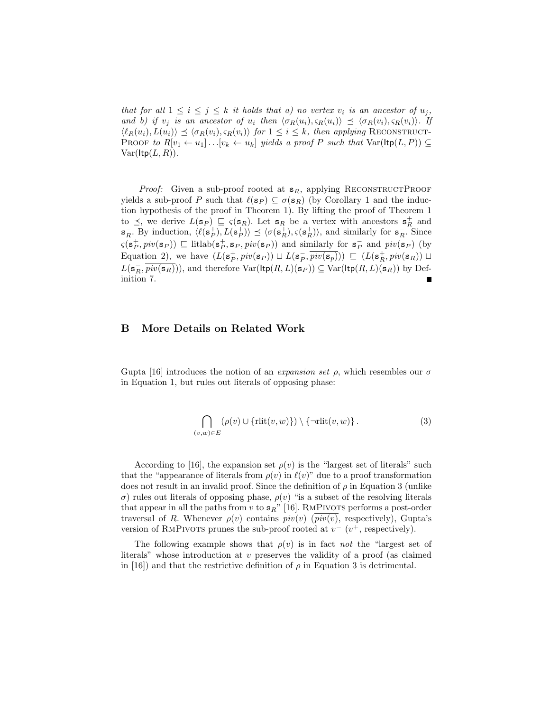that for all  $1 \leq i \leq j \leq k$  it holds that a) no vertex  $v_i$  is an ancestor of  $u_j$ , and b) if  $v_j$  is an ancestor of  $u_i$  then  $\langle \sigma_R(u_i), \varsigma_R(u_i) \rangle \preceq \langle \sigma_R(v_i), \varsigma_R(v_i) \rangle$ . If  $\langle \ell_R(u_i), L(u_i)\rangle \preceq \langle \sigma_R(v_i), \varsigma_R(v_i)\rangle$  for  $1 \leq i \leq k$ , then applying RECONSTRUCT-PROOF to  $R[v_1 \leftarrow u_1] \dots [v_k \leftarrow u_k]$  yields a proof P such that  $\text{Var}(\text{ltp}(L, P)) \subseteq$  $Var(ltp(L, R)).$ 

*Proof:* Given a sub-proof rooted at  $s_R$ , applying RECONSTRUCTPROOF yields a sub-proof P such that  $\ell(\mathbf{s}_P) \subseteq \sigma(\mathbf{s}_R)$  (by Corollary 1 and the induction hypothesis of the proof in Theorem 1). By lifting the proof of Theorem 1 to  $\preceq$ , we derive  $L(\mathbf{s}_P) \sqsubseteq \varsigma(\mathbf{s}_R)$ . Let  $\mathbf{s}_R$  be a vertex with ancestors  $\mathbf{s}_R^+$  and  $\mathbf{s}_R^-$ . By induction,  $\langle \ell(\mathbf{s}_P^+), L(\mathbf{s}_P^+) \rangle \preceq \langle \sigma(\mathbf{s}_R^+), \varsigma(\mathbf{s}_R^+) \rangle$ , and similarly for  $\mathbf{s}_R^-$ . Since  $\varsigma(\mathbf{s}_P^+, piv(\mathbf{s}_P)) \sqsubseteq \text{litlab}(\mathbf{s}_P^+, \mathbf{s}_P, piv(\mathbf{s}_P))$  and similarly for  $\mathbf{s}_P^-$  and  $\overline{piv(\mathbf{s}_P)}$  (by Equation 2), we have  $(L(\mathbf{s}_P^+, piv(\mathbf{s}_P)) \sqcup L(\mathbf{s}_P^-, \overline{piv(\mathbf{s}_P)})) \sqsubseteq (L(\mathbf{s}_R^+, piv(\mathbf{s}_R)) \sqcup$  $L(\mathbf{s}_R^-,\overline{piv(\mathbf{s}_R)}))$ , and therefore  $\text{Var}(\text{ltp}(R,L)(\mathbf{s}_P)) \subseteq \text{Var}(\text{ltp}(R,L)(\mathbf{s}_R))$  by Definition 7.

# B More Details on Related Work

Gupta [16] introduces the notion of an *expansion set*  $\rho$ , which resembles our  $\sigma$ in Equation 1, but rules out literals of opposing phase:

$$
\bigcap_{(v,w)\in E} (\rho(v) \cup \{\text{rlit}(v,w)\}) \setminus \{\neg \text{rlit}(v,w)\}.
$$
 (3)

According to [16], the expansion set  $\rho(v)$  is the "largest set of literals" such that the "appearance of literals from  $\rho(v)$  in  $\ell(v)$ " due to a proof transformation does not result in an invalid proof. Since the definition of  $\rho$  in Equation 3 (unlike σ) rules out literals of opposing phase, ρ(v) "is a subset of the resolving literals that appear in all the paths from v to  $s_R$ " [16]. RMPIVOTS performs a post-order traversal of R. Whenever  $\rho(v)$  contains  $piv(v)$  ( $\overline{piv(v)}$ , respectively), Gupta's version of RMPIVOTS prunes the sub-proof rooted at  $v^{-}$  ( $v^{+}$ , respectively).

The following example shows that  $\rho(v)$  is in fact not the "largest set of literals" whose introduction at v preserves the validity of a proof (as claimed in [16]) and that the restrictive definition of  $\rho$  in Equation 3 is detrimental.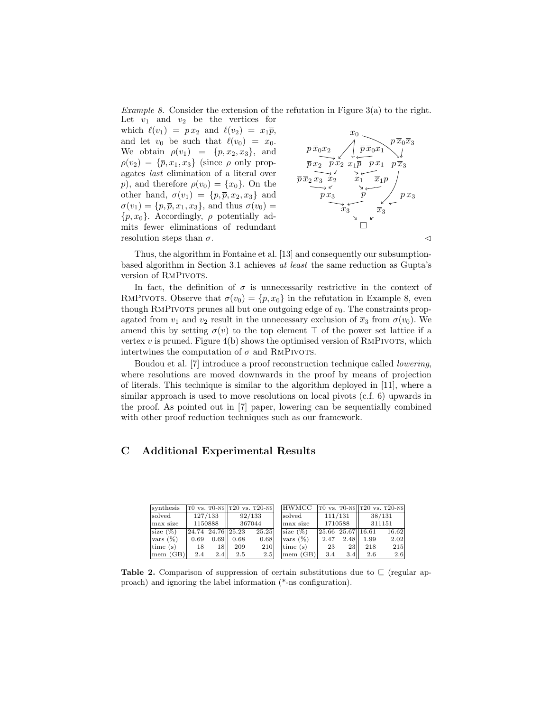Example 8. Consider the extension of the refutation in Figure  $3(a)$  to the right.

Let  $v_1$  and  $v_2$  be the vertices for which  $\ell(v_1) = px_2$  and  $\ell(v_2) = x_1\overline{p}$ , and let  $v_0$  be such that  $\ell(v_0) = x_0$ . We obtain  $\rho(v_1) = \{p, x_2, x_3\}$ , and  $\rho(v_2) = {\overline{p}, x_1, x_3}$  (since  $\rho$  only propagates last elimination of a literal over p), and therefore  $\rho(v_0) = \{x_0\}$ . On the other hand,  $\sigma(v_1) = \{p, \overline{p}, x_2, x_3\}$  and  $\sigma(v_1) = \{p, \overline{p}, x_1, x_3\}$ , and thus  $\sigma(v_0) =$  $\{p, x_0\}$ . Accordingly,  $\rho$  potentially admits fewer eliminations of redundant resolution steps than  $\sigma$ .



Thus, the algorithm in Fontaine et al. [13] and consequently our subsumptionbased algorithm in Section 3.1 achieves at least the same reduction as Gupta's version of RMPIVOTS.

In fact, the definition of  $\sigma$  is unnecessarily restrictive in the context of RMPIVOTS. Observe that  $\sigma(v_0) = \{p, x_0\}$  in the refutation in Example 8, even though RMPIVOTS prunes all but one outgoing edge of  $v_0$ . The constraints propagated from  $v_1$  and  $v_2$  result in the unnecessary exclusion of  $\overline{x}_3$  from  $\sigma(v_0)$ . We amend this by setting  $\sigma(v)$  to the top element  $\top$  of the power set lattice if a vertex  $v$  is pruned. Figure 4(b) shows the optimised version of RMPIVOTS, which intertwines the computation of  $\sigma$  and RMPIVOTS.

Boudou et al. [7] introduce a proof reconstruction technique called lowering, where resolutions are moved downwards in the proof by means of projection of literals. This technique is similar to the algorithm deployed in [11], where a similar approach is used to move resolutions on local pivots (c.f. 6) upwards in the proof. As pointed out in [7] paper, lowering can be sequentially combined with other proof reduction techniques such as our framework.

# C Additional Experimental Results

| svnthesis                        |      |         |                                                   | $T0$ vs. T $0$ -NS $T20$ vs. T $20$ -NS |  | <b>HWMCC</b> |         |                                                           | TO vs. $T0-NS$ T20 vs. T20-NS |         |         |  |        |  |
|----------------------------------|------|---------|---------------------------------------------------|-----------------------------------------|--|--------------|---------|-----------------------------------------------------------|-------------------------------|---------|---------|--|--------|--|
| solved                           |      | 127/133 | 92/133                                            |                                         |  |              |         |                                                           |                               | lsolved | 111/131 |  | 38/131 |  |
| max size                         |      | 1150888 | 367044                                            |                                         |  | max size     | 1710588 |                                                           | 311151                        |         |         |  |        |  |
| $\vert$ size $(\%)$              |      |         | $\vert 24.74 \vert 24.76 \vert \vert 25.23 \vert$ | 25.25                                   |  | $ size(\%) $ |         | $\left  25.66 \right  25.67 \right  \left  16.61 \right $ |                               | 16.62   |         |  |        |  |
| $\sqrt{\cos(\%)}$                | 0.69 | $0.69$  | 0.68                                              | 0.68                                    |  | $\sqrt{8}$   | 2.47    | 2.48                                                      | 1.99                          | 2.02    |         |  |        |  |
| $\left  \text{time (s)} \right $ | 18   | 18 II   | 209                                               | <b>210</b>                              |  | time(s)      | -23     | <b>23</b>                                                 | 218                           | 215     |         |  |        |  |
| mem (GB)                         | 2.4  | 2.4II   | 2.5                                               | 2.5                                     |  | mem (GB)     | 3.4     | 3.4                                                       | 2.6                           | 2.6     |         |  |        |  |

Table 2. Comparison of suppression of certain substitutions due to  $\subseteq$  (regular approach) and ignoring the label information (\*-ns configuration).